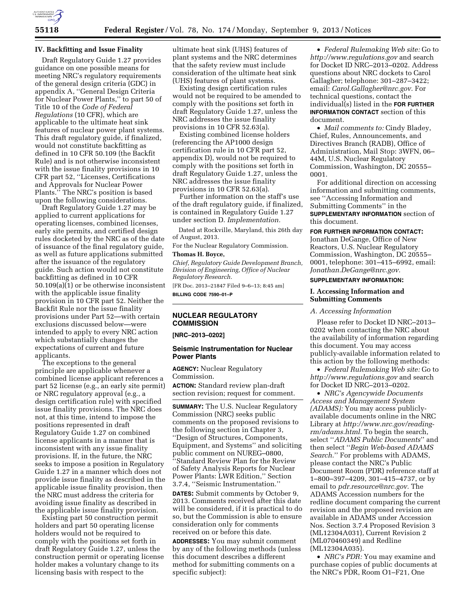

#### **IV. Backfitting and Issue Finality**

Draft Regulatory Guide 1.27 provides guidance on one possible means for meeting NRC's regulatory requirements of the general design criteria (GDC) in appendix A, ''General Design Criteria for Nuclear Power Plants,'' to part 50 of Title 10 of the *Code of Federal Regulations* (10 CFR), which are applicable to the ultimate heat sink features of nuclear power plant systems. This draft regulatory guide, if finalized, would not constitute backfitting as defined in 10 CFR 50.109 (the Backfit Rule) and is not otherwise inconsistent with the issue finality provisions in 10 CFR part 52, ''Licenses, Certifications and Approvals for Nuclear Power Plants.'' The NRC's position is based upon the following considerations.

Draft Regulatory Guide 1.27 may be applied to current applications for operating licenses, combined licenses, early site permits, and certified design rules docketed by the NRC as of the date of issuance of the final regulatory guide, as well as future applications submitted after the issuance of the regulatory guide. Such action would not constitute backfitting as defined in 10 CFR 50.109(a)(1) or be otherwise inconsistent with the applicable issue finality provision in 10 CFR part 52. Neither the Backfit Rule nor the issue finality provisions under Part 52—with certain exclusions discussed below—were intended to apply to every NRC action which substantially changes the expectations of current and future applicants.

The exceptions to the general principle are applicable whenever a combined license applicant references a part 52 license (e.g., an early site permit) or NRC regulatory approval (e.g., a design certification rule) with specified issue finality provisions. The NRC does not, at this time, intend to impose the positions represented in draft Regulatory Guide 1.27 on combined license applicants in a manner that is inconsistent with any issue finality provisions. If, in the future, the NRC seeks to impose a position in Regulatory Guide 1.27 in a manner which does not provide issue finality as described in the applicable issue finality provision, then the NRC must address the criteria for avoiding issue finality as described in the applicable issue finality provision.

Existing part 50 construction permit holders and part 50 operating license holders would not be required to comply with the positions set forth in draft Regulatory Guide 1.27, unless the construction permit or operating license holder makes a voluntary change to its licensing basis with respect to the

ultimate heat sink (UHS) features of plant systems and the NRC determines that the safety review must include consideration of the ultimate heat sink (UHS) features of plant systems.

Existing design certification rules would not be required to be amended to comply with the positions set forth in draft Regulatory Guide 1.27, unless the NRC addresses the issue finality provisions in 10 CFR 52.63(a).

Existing combined license holders (referencing the AP1000 design certification rule in 10 CFR part 52, appendix D), would not be required to comply with the positions set forth in draft Regulatory Guide 1.27, unless the NRC addresses the issue finality provisions in 10 CFR 52.63(a).

Further information on the staff's use of the draft regulatory guide, if finalized, is contained in Regulatory Guide 1.27 under section D. *Implementation.* 

Dated at Rockville, Maryland, this 26th day of August, 2013.

For the Nuclear Regulatory Commission.

## **Thomas H. Boyce,**

*Chief, Regulatory Guide Development Branch, Division of Engineering, Office of Nuclear Regulatory Research.* 

[FR Doc. 2013–21847 Filed 9–6–13; 8:45 am] **BILLING CODE 7590–01–P** 

# **NUCLEAR REGULATORY COMMISSION**

**[NRC–2013–0202]** 

### **Seismic Instrumentation for Nuclear Power Plants**

**AGENCY:** Nuclear Regulatory Commission. **ACTION:** Standard review plan-draft

section revision; request for comment.

**SUMMARY:** The U.S. Nuclear Regulatory Commission (NRC) seeks public comments on the proposed revisions to the following section in Chapter 3, ''Design of Structures, Components, Equipment, and Systems'' and soliciting public comment on NUREG–0800, ''Standard Review Plan for the Review of Safety Analysis Reports for Nuclear Power Plants: LWR Edition,'' Section 3.7.4, ''Seismic Instrumentation.''

**DATES:** Submit comments by October 9, 2013. Comments received after this date will be considered, if it is practical to do so, but the Commission is able to ensure consideration only for comments received on or before this date.

**ADDRESSES:** You may submit comment by any of the following methods (unless this document describes a different method for submitting comments on a specific subject):

• *Federal Rulemaking Web site:* Go to *<http://www.regulations.gov>* and search for Docket ID NRC–2013–0202. Address questions about NRC dockets to Carol Gallagher; telephone: 301–287–3422; email: *[Carol.Gallagher@nrc.gov.](mailto:Carol.Gallagher@nrc.gov)* For technical questions, contact the individual(s) listed in the **FOR FURTHER INFORMATION CONTACT** section of this document.

• *Mail comments to:* Cindy Bladey, Chief, Rules, Announcements, and Directives Branch (RADB), Office of Administration, Mail Stop: 3WFN, 06– 44M, U.S. Nuclear Regulatory Commission, Washington, DC 20555– 0001.

For additional direction on accessing information and submitting comments, see ''Accessing Information and Submitting Comments'' in the **SUPPLEMENTARY INFORMATION** section of

this document. **FOR FURTHER INFORMATION CONTACT:** 

Jonathan DeGange, Office of New Reactors, U.S. Nuclear Regulatory Commission, Washington, DC 20555– 0001, telephone: 301–415–6992, email: *[Jonathan.DeGange@nrc.gov.](mailto:Jonathan.DeGange@nrc.gov)* 

## **SUPPLEMENTARY INFORMATION:**

### **I. Accessing Information and Submitting Comments**

#### *A. Accessing Information*

Please refer to Docket ID NRC–2013– 0202 when contacting the NRC about the availability of information regarding this document. You may access publicly-available information related to this action by the following methods:

• *Federal Rulemaking Web site:* Go to *<http://www.regulations.gov>* and search for Docket ID NRC–2013–0202.

• *NRC's Agencywide Documents Access and Management System (ADAMS):* You may access publiclyavailable documents online in the NRC Library at *[http://www.nrc.gov/reading](http://www.nrc.gov/reading-rm/adams.html)[rm/adams.html.](http://www.nrc.gov/reading-rm/adams.html)* To begin the search, select ''*ADAMS Public Documents*'' and then select ''*Begin Web-based ADAMS Search*.'' For problems with ADAMS, please contact the NRC's Public Document Room (PDR) reference staff at 1–800–397–4209, 301–415–4737, or by email to *[pdr.resource@nrc.gov.](mailto:pdr.resource@nrc.gov)* The ADAMS Accession numbers for the redline document comparing the current revision and the proposed revision are available in ADAMS under Accession Nos. Section 3.7.4 Proposed Revision 3 (ML12304A031), Current Revision 2 (ML070460349) and Redline (ML12304A035).

• *NRC's PDR:* You may examine and purchase copies of public documents at the NRC's PDR, Room O1–F21, One